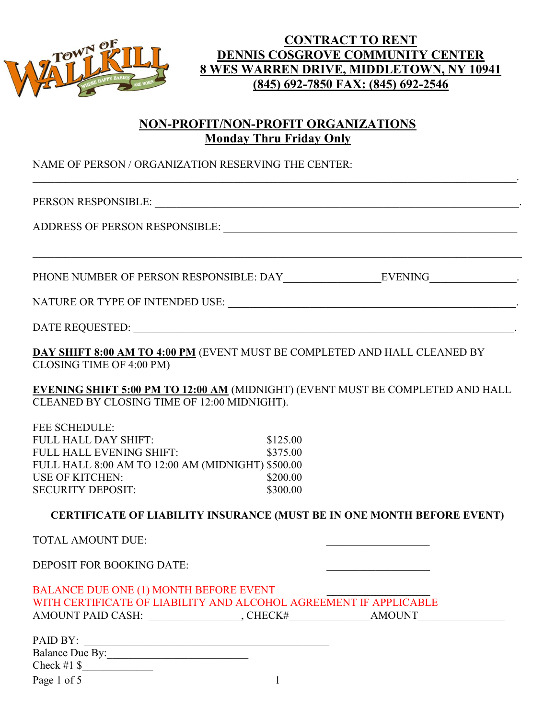

## CONTRACT TO RENT DENNIS COSGROVE COMMUNITY CENTER 8 WES WARREN DRIVE, MIDDLETOWN, NY 10941 (845) 692-7850 FAX: (845) 692-2546

# NON-PROFIT/NON-PROFIT ORGANIZATIONS Monday Thru Friday Only

 $\mathcal{L}_\mathcal{L} = \mathcal{L}_\mathcal{L} = \mathcal{L}_\mathcal{L} = \mathcal{L}_\mathcal{L} = \mathcal{L}_\mathcal{L} = \mathcal{L}_\mathcal{L} = \mathcal{L}_\mathcal{L} = \mathcal{L}_\mathcal{L} = \mathcal{L}_\mathcal{L} = \mathcal{L}_\mathcal{L} = \mathcal{L}_\mathcal{L} = \mathcal{L}_\mathcal{L} = \mathcal{L}_\mathcal{L} = \mathcal{L}_\mathcal{L} = \mathcal{L}_\mathcal{L} = \mathcal{L}_\mathcal{L} = \mathcal{L}_\mathcal{L}$ 

NAME OF PERSON / ORGANIZATION RESERVING THE CENTER:

PERSON RESPONSIBLE: \_\_\_\_\_\_\_\_\_\_\_\_\_\_\_\_\_\_\_\_\_\_\_\_\_\_\_\_\_\_\_\_\_\_\_\_\_\_\_\_\_\_\_\_\_\_\_\_\_\_\_\_\_\_\_\_\_\_\_\_\_\_\_\_\_\_\_.

ADDRESS OF PERSON RESPONSIBLE: \_\_\_\_\_\_\_\_\_\_\_\_\_\_\_\_\_\_\_\_\_\_\_\_\_\_\_\_\_\_\_\_\_\_\_\_\_\_\_\_\_\_\_\_\_\_\_\_\_\_\_\_\_\_

PHONE NUMBER OF PERSON RESPONSIBLE: DAY\_\_\_\_\_\_\_\_\_\_\_\_\_\_\_\_\_\_EVENING\_\_\_\_\_\_\_\_\_\_\_\_\_\_\_\_.

NATURE OR TYPE OF INTENDED USE: \_\_\_\_\_\_\_\_\_\_\_\_\_\_\_\_\_\_\_\_\_\_\_\_\_\_\_\_\_\_\_\_\_\_\_\_\_\_\_\_\_\_\_\_\_\_\_\_\_\_\_\_\_.

DATE REQUESTED: \_\_\_\_\_\_\_\_\_\_\_\_\_\_\_\_\_\_\_\_\_\_\_\_\_\_\_\_\_\_\_\_\_\_\_\_\_\_\_\_\_\_\_\_\_\_\_\_\_\_\_\_\_\_\_\_\_\_\_\_\_\_\_\_\_\_\_\_\_\_.

DAY SHIFT 8:00 AM TO 4:00 PM (EVENT MUST BE COMPLETED AND HALL CLEANED BY CLOSING TIME OF 4:00 PM)

EVENING SHIFT 5:00 PM TO 12:00 AM (MIDNIGHT) (EVENT MUST BE COMPLETED AND HALL CLEANED BY CLOSING TIME OF 12:00 MIDNIGHT).

FEE SCHEDULE: FULL HALL DAY SHIFT: \$125.00 FULL HALL EVENING SHIFT:  $$375.00$ FULL HALL 8:00 AM TO 12:00 AM (MIDNIGHT) \$500.00 USE OF KITCHEN: \$200.00 SECURITY DEPOSIT: \$300.00

#### CERTIFICATE OF LIABILITY INSURANCE (MUST BE IN ONE MONTH BEFORE EVENT)

TOTAL AMOUNT DUE:

DEPOSIT FOR BOOKING DATE:

BALANCE DUE ONE (1) MONTH BEFORE EVENT WITH CERTIFICATE OF LIABILITY AND ALCOHOL AGREEMENT IF APPLICABLE AMOUNT PAID CASH: \_\_\_\_\_\_\_\_\_\_\_\_\_\_\_\_\_, CHECK#\_\_\_\_\_\_\_\_\_\_\_\_\_\_\_AMOUNT\_\_\_\_\_\_\_\_\_\_\_\_\_\_\_\_

| PAID BY:        |  |
|-----------------|--|
| Balance Due By: |  |
| Check #1 $\$    |  |
| Page 1 of 5     |  |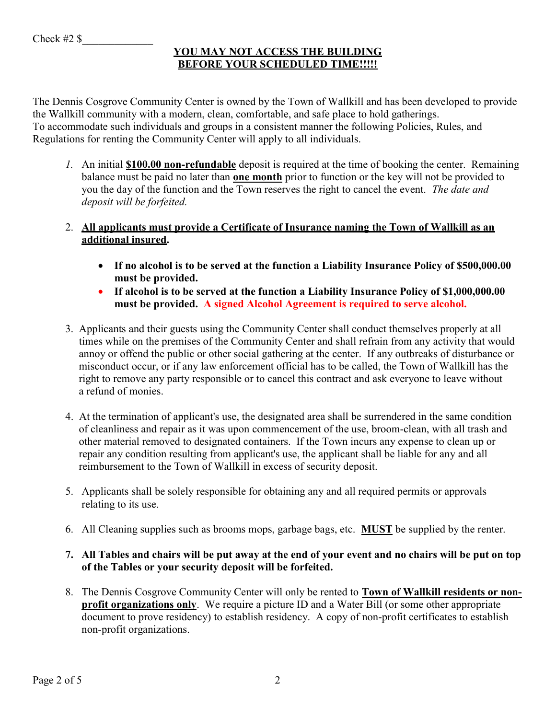#### YOU MAY NOT ACCESS THE BUILDING BEFORE YOUR SCHEDULED TIME!!!!!

The Dennis Cosgrove Community Center is owned by the Town of Wallkill and has been developed to provide the Wallkill community with a modern, clean, comfortable, and safe place to hold gatherings. To accommodate such individuals and groups in a consistent manner the following Policies, Rules, and Regulations for renting the Community Center will apply to all individuals.

1. An initial **\$100.00 non-refundable** deposit is required at the time of booking the center. Remaining balance must be paid no later than **one month** prior to function or the key will not be provided to you the day of the function and the Town reserves the right to cancel the event. The date and deposit will be forfeited.

#### 2. All applicants must provide a Certificate of Insurance naming the Town of Wallkill as an additional insured.

- If no alcohol is to be served at the function a Liability Insurance Policy of \$500,000.00 must be provided.
- If alcohol is to be served at the function a Liability Insurance Policy of \$1,000,000.00 must be provided. A signed Alcohol Agreement is required to serve alcohol.
- 3. Applicants and their guests using the Community Center shall conduct themselves properly at all times while on the premises of the Community Center and shall refrain from any activity that would annoy or offend the public or other social gathering at the center. If any outbreaks of disturbance or misconduct occur, or if any law enforcement official has to be called, the Town of Wallkill has the right to remove any party responsible or to cancel this contract and ask everyone to leave without a refund of monies.
- 4. At the termination of applicant's use, the designated area shall be surrendered in the same condition of cleanliness and repair as it was upon commencement of the use, broom-clean, with all trash and other material removed to designated containers. If the Town incurs any expense to clean up or repair any condition resulting from applicant's use, the applicant shall be liable for any and all reimbursement to the Town of Wallkill in excess of security deposit.
- 5. Applicants shall be solely responsible for obtaining any and all required permits or approvals relating to its use.
- 6. All Cleaning supplies such as brooms mops, garbage bags, etc. MUST be supplied by the renter.
- 7. All Tables and chairs will be put away at the end of your event and no chairs will be put on top of the Tables or your security deposit will be forfeited.
- 8. The Dennis Cosgrove Community Center will only be rented to Town of Wallkill residents or nonprofit organizations only. We require a picture ID and a Water Bill (or some other appropriate document to prove residency) to establish residency. A copy of non-profit certificates to establish non-profit organizations.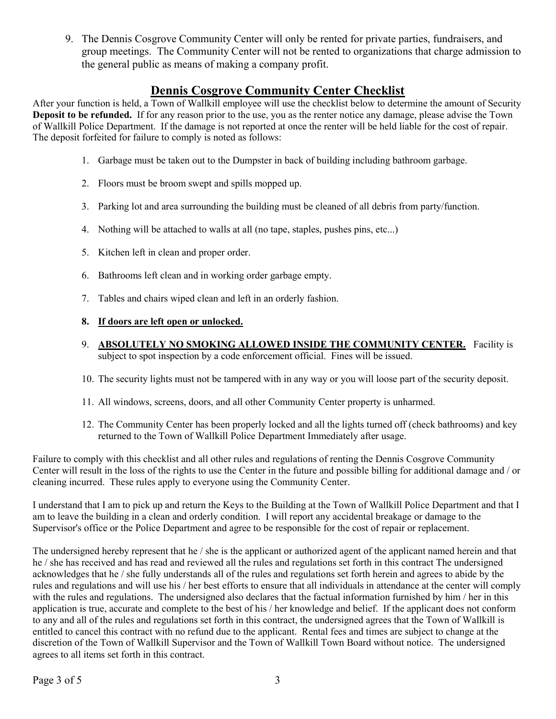9. The Dennis Cosgrove Community Center will only be rented for private parties, fundraisers, and group meetings. The Community Center will not be rented to organizations that charge admission to the general public as means of making a company profit.

### Dennis Cosgrove Community Center Checklist

After your function is held, a Town of Wallkill employee will use the checklist below to determine the amount of Security Deposit to be refunded. If for any reason prior to the use, you as the renter notice any damage, please advise the Town of Wallkill Police Department. If the damage is not reported at once the renter will be held liable for the cost of repair. The deposit forfeited for failure to comply is noted as follows:

- 1. Garbage must be taken out to the Dumpster in back of building including bathroom garbage.
- 2. Floors must be broom swept and spills mopped up.
- 3. Parking lot and area surrounding the building must be cleaned of all debris from party/function.
- 4. Nothing will be attached to walls at all (no tape, staples, pushes pins, etc...)
- 5. Kitchen left in clean and proper order.
- 6. Bathrooms left clean and in working order garbage empty.
- 7. Tables and chairs wiped clean and left in an orderly fashion.

#### 8. If doors are left open or unlocked.

- 9. ABSOLUTELY NO SMOKING ALLOWED INSIDE THE COMMUNITY CENTER. Facility is subject to spot inspection by a code enforcement official. Fines will be issued.
- 10. The security lights must not be tampered with in any way or you will loose part of the security deposit.
- 11. All windows, screens, doors, and all other Community Center property is unharmed.
- 12. The Community Center has been properly locked and all the lights turned off (check bathrooms) and key returned to the Town of Wallkill Police Department Immediately after usage.

Failure to comply with this checklist and all other rules and regulations of renting the Dennis Cosgrove Community Center will result in the loss of the rights to use the Center in the future and possible billing for additional damage and / or cleaning incurred. These rules apply to everyone using the Community Center.

I understand that I am to pick up and return the Keys to the Building at the Town of Wallkill Police Department and that I am to leave the building in a clean and orderly condition. I will report any accidental breakage or damage to the Supervisor's office or the Police Department and agree to be responsible for the cost of repair or replacement.

The undersigned hereby represent that he / she is the applicant or authorized agent of the applicant named herein and that he / she has received and has read and reviewed all the rules and regulations set forth in this contract The undersigned acknowledges that he / she fully understands all of the rules and regulations set forth herein and agrees to abide by the rules and regulations and will use his / her best efforts to ensure that all individuals in attendance at the center will comply with the rules and regulations. The undersigned also declares that the factual information furnished by him / her in this application is true, accurate and complete to the best of his / her knowledge and belief. If the applicant does not conform to any and all of the rules and regulations set forth in this contract, the undersigned agrees that the Town of Wallkill is entitled to cancel this contract with no refund due to the applicant. Rental fees and times are subject to change at the discretion of the Town of Wallkill Supervisor and the Town of Wallkill Town Board without notice. The undersigned agrees to all items set forth in this contract.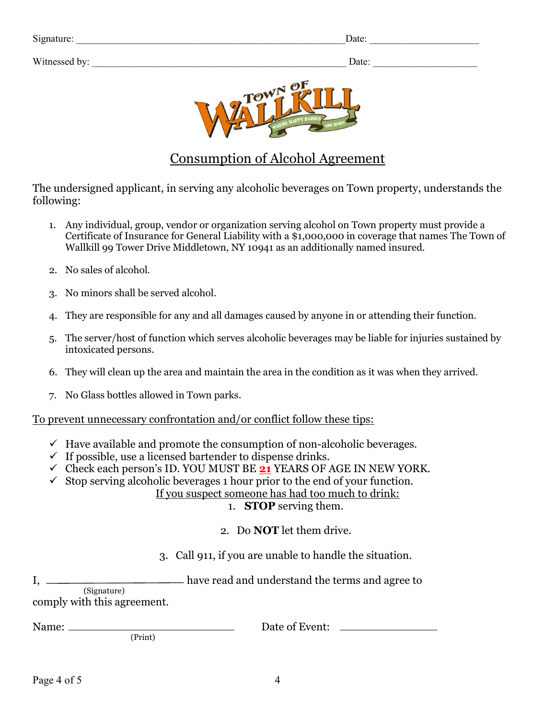| $\sim \cdot$<br>Signature: | Date. |
|----------------------------|-------|
|                            |       |

Witnessed by: <br>  $\Box$  Date:  $\Box$ 

| Date: |  |
|-------|--|
|       |  |



# Consumption of Alcohol Agreement

The undersigned applicant, in serving any alcoholic beverages on Town property, understands the following:

- 1. Any individual, group, vendor or organization serving alcohol on Town property must provide a Certificate of Insurance for General Liability with a \$1,000,000 in coverage that names The Town of Wallkill 99 Tower Drive Middletown, NY 10941 as an additionally named insured.
- 2. No sales of alcohol.
- 3. No minors shall be served alcohol.
- 4. They are responsible for any and all damages caused by anyone in or attending their function.
- 5. The server/host of function which serves alcoholic beverages may be liable for injuries sustained by intoxicated persons.
- 6. They will clean up the area and maintain the area in the condition as it was when they arrived.
- 7. No Glass bottles allowed in Town parks.

To prevent unnecessary confrontation and/or conflict follow these tips:

- $\checkmark$  Have available and promote the consumption of non-alcoholic beverages.
- $\checkmark$  If possible, use a licensed bartender to dispense drinks.
- $\checkmark$  Check each person's ID. YOU MUST BE 21 YEARS OF AGE IN NEW YORK.
- $\checkmark$  Stop serving alcoholic beverages 1 hour prior to the end of your function.

If you suspect someone has had too much to drink:

1. STOP serving them.

2. Do NOT let them drive.

3. Call 911, if you are unable to handle the situation.

I, \_\_\_\_\_\_\_\_\_\_\_\_\_\_\_\_\_\_\_\_\_\_\_\_\_ have read and understand the terms and agree to (Signature)

comply with this agreement.

(Print)

Name: Date of Event: